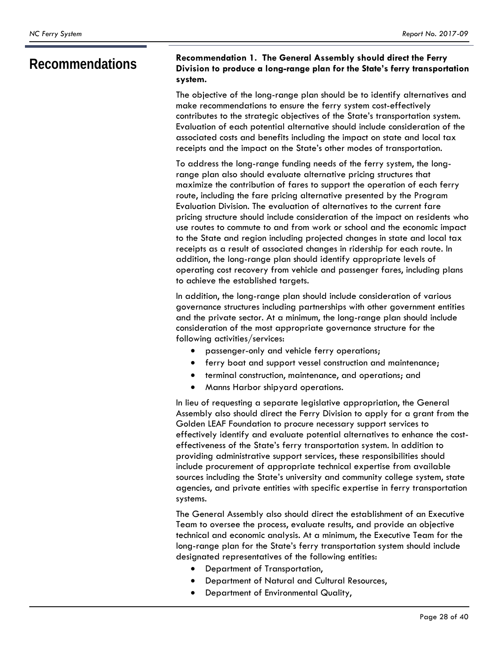## **Recommendations Recommendation 1. The General Assembly should direct the Ferry Division to produce a long-range plan for the State's ferry transportation system.**

The objective of the long-range plan should be to identify alternatives and make recommendations to ensure the ferry system cost-effectively contributes to the strategic objectives of the State's transportation system. Evaluation of each potential alternative should include consideration of the associated costs and benefits including the impact on state and local tax receipts and the impact on the State's other modes of transportation.

To address the long-range funding needs of the ferry system, the longrange plan also should evaluate alternative pricing structures that maximize the contribution of fares to support the operation of each ferry route, including the fare pricing alternative presented by the Program Evaluation Division. The evaluation of alternatives to the current fare pricing structure should include consideration of the impact on residents who use routes to commute to and from work or school and the economic impact to the State and region including projected changes in state and local tax receipts as a result of associated changes in ridership for each route. In addition, the long-range plan should identify appropriate levels of operating cost recovery from vehicle and passenger fares, including plans to achieve the established targets.

In addition, the long-range plan should include consideration of various governance structures including partnerships with other government entities and the private sector. At a minimum, the long-range plan should include consideration of the most appropriate governance structure for the following activities/services:

- passenger-only and vehicle ferry operations;
- ferry boat and support vessel construction and maintenance;
- terminal construction, maintenance, and operations; and
- Manns Harbor shipyard operations.

In lieu of requesting a separate legislative appropriation, the General Assembly also should direct the Ferry Division to apply for a grant from the Golden LEAF Foundation to procure necessary support services to effectively identify and evaluate potential alternatives to enhance the costeffectiveness of the State's ferry transportation system. In addition to providing administrative support services, these responsibilities should include procurement of appropriate technical expertise from available sources including the State's university and community college system, state agencies, and private entities with specific expertise in ferry transportation systems.

The General Assembly also should direct the establishment of an Executive Team to oversee the process, evaluate results, and provide an objective technical and economic analysis. At a minimum, the Executive Team for the long-range plan for the State's ferry transportation system should include designated representatives of the following entities:

- Department of Transportation,
- Department of Natural and Cultural Resources,
- Department of Environmental Quality,